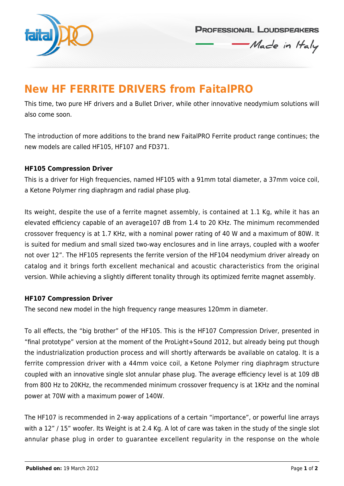

**PROFESSIONAL LOUDSPEAKERS** 

Made in Haly

## **New HF FERRITE DRIVERS from FaitalPRO**

This time, two pure HF drivers and a Bullet Driver, while other innovative neodymium solutions will also come soon.

The introduction of more additions to the brand new FaitalPRO Ferrite product range continues; the new models are called HF105, HF107 and FD371.

#### **HF105 Compression Driver**

This is a driver for High frequencies, named HF105 with a 91mm total diameter, a 37mm voice coil, a Ketone Polymer ring diaphragm and radial phase plug.

Its weight, despite the use of a ferrite magnet assembly, is contained at 1.1 Kg, while it has an elevated efficiency capable of an average107 dB from 1.4 to 20 KHz. The minimum recommended crossover frequency is at 1.7 KHz, with a nominal power rating of 40 W and a maximum of 80W. It is suited for medium and small sized two-way enclosures and in line arrays, coupled with a woofer not over 12". The HF105 represents the ferrite version of the HF104 neodymium driver already on catalog and it brings forth excellent mechanical and acoustic characteristics from the original version. While achieving a slightly different tonality through its optimized ferrite magnet assembly.

#### **HF107 Compression Driver**

The second new model in the high frequency range measures 120mm in diameter.

To all effects, the "big brother" of the HF105. This is the HF107 Compression Driver, presented in "final prototype" version at the moment of the ProLight+Sound 2012, but already being put though the industrialization production process and will shortly afterwards be available on catalog. It is a ferrite compression driver with a 44mm voice coil, a Ketone Polymer ring diaphragm structure coupled with an innovative single slot annular phase plug. The average efficiency level is at 109 dB from 800 Hz to 20KHz, the recommended minimum crossover frequency is at 1KHz and the nominal power at 70W with a maximum power of 140W.

The HF107 is recommended in 2-way applications of a certain "importance", or powerful line arrays with a 12" / 15" woofer. Its Weight is at 2.4 Kg. A lot of care was taken in the study of the single slot annular phase plug in order to guarantee excellent regularity in the response on the whole